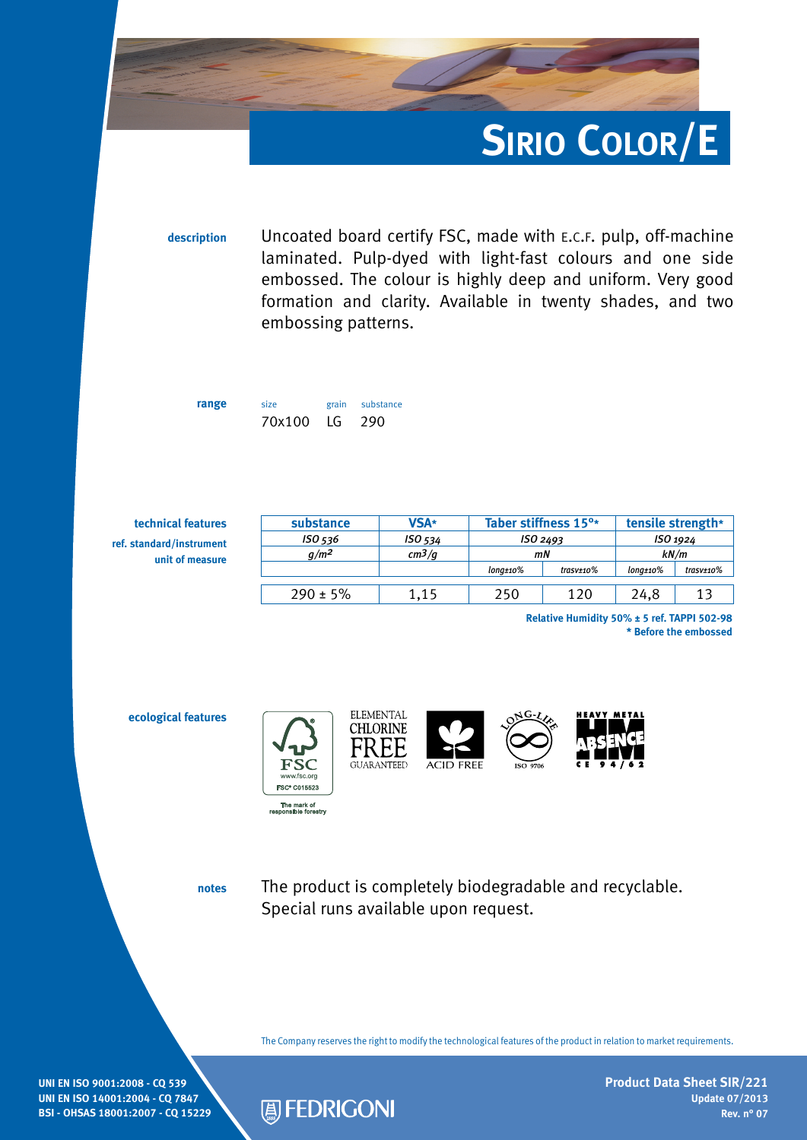

**description** Uncoated board certify FSC, made with e.c.f. pulp, off-machine laminated. Pulp-dyed with light-fast colours and one side embossed. The colour is highly deep and uniform. Very good formation and clarity. Available in twenty shades, and two embossing patterns.

**range** size grain substance 70x100 LG 290

| technical features       | substance     | <b>VSA*</b> | Taber stiffness 15 <sup>o*</sup><br>ISO <sub>2493</sub><br>mN |                                  | tensile strength*<br>ISO 1924<br>kN/m |           |
|--------------------------|---------------|-------------|---------------------------------------------------------------|----------------------------------|---------------------------------------|-----------|
| ref. standard/instrument | ISO 536       | ISO 534     |                                                               |                                  |                                       |           |
| unit of measure          | $q/m^2$       | $cm^3/q$    |                                                               |                                  |                                       |           |
|                          |               |             | $lona±10\%$                                                   | $\textit{trasv}\texttt{\pm}$ 10% | $lona±10\%$                           | trasv±10% |
|                          | $290 \pm 5\%$ | 1.15        | 250                                                           | 120                              | 24,8                                  | 13        |
|                          |               |             |                                                               |                                  |                                       |           |

**Relative Humidity 50% ± 5 ref. TAPPI 502-98 \* Before the embossed**

**ecological features**



**CHLORINE** FREE **GUARANTEED** 

**ELEMENTAL** 





**notes**

The product is completely biodegradable and recyclable. Special runs available upon request.

The Company reserves the right to modify the technological features of the product in relation to market requirements.

**UNI EN ISO 9001:2008 - CQ 539 UNI EN ISO 14001:2004 - CQ 7847 BSI - OHSAS 18001:2007 - CQ 15229**



**Product Data Sheet SIR/221 Update 07/2013 Rev. n° 07**